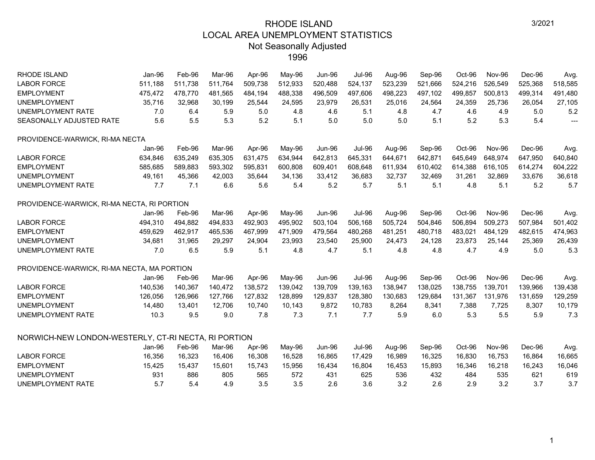| <b>RHODE ISLAND</b>                                  | Jan-96  | Feb-96  | Mar-96  | Apr-96  | May-96  | <b>Jun-96</b> | <b>Jul-96</b> | Aug-96  | Sep-96  | Oct-96  | <b>Nov-96</b> | Dec-96  | Avg.           |
|------------------------------------------------------|---------|---------|---------|---------|---------|---------------|---------------|---------|---------|---------|---------------|---------|----------------|
| <b>LABOR FORCE</b>                                   | 511,188 | 511,738 | 511,764 | 509,738 | 512,933 | 520,488       | 524,137       | 523,239 | 521,666 | 524,216 | 526,549       | 525,368 | 518,585        |
| <b>EMPLOYMENT</b>                                    | 475,472 | 478,770 | 481,565 | 484,194 | 488,338 | 496,509       | 497,606       | 498,223 | 497,102 | 499,857 | 500,813       | 499,314 | 491,480        |
| <b>UNEMPLOYMENT</b>                                  | 35,716  | 32,968  | 30,199  | 25,544  | 24,595  | 23,979        | 26,531        | 25,016  | 24,564  | 24,359  | 25,736        | 26,054  | 27,105         |
| <b>UNEMPLOYMENT RATE</b>                             | 7.0     | 6.4     | 5.9     | 5.0     | 4.8     | 4.6           | 5.1           | 4.8     | 4.7     | 4.6     | 4.9           | 5.0     | 5.2            |
| SEASONALLY ADJUSTED RATE                             | 5.6     | 5.5     | 5.3     | 5.2     | 5.1     | 5.0           | 5.0           | 5.0     | 5.1     | 5.2     | 5.3           | 5.4     | $\overline{a}$ |
| PROVIDENCE-WARWICK, RI-MA NECTA                      |         |         |         |         |         |               |               |         |         |         |               |         |                |
|                                                      | Jan-96  | Feb-96  | Mar-96  | Apr-96  | May-96  | <b>Jun-96</b> | <b>Jul-96</b> | Aug-96  | Sep-96  | Oct-96  | <b>Nov-96</b> | Dec-96  | Avg.           |
| <b>LABOR FORCE</b>                                   | 634,846 | 635,249 | 635,305 | 631,475 | 634,944 | 642,813       | 645,331       | 644,671 | 642,871 | 645,649 | 648,974       | 647,950 | 640,840        |
| <b>EMPLOYMENT</b>                                    | 585,685 | 589,883 | 593,302 | 595,831 | 600,808 | 609,401       | 608,648       | 611,934 | 610,402 | 614,388 | 616,105       | 614,274 | 604,222        |
| <b>UNEMPLOYMENT</b>                                  | 49.161  | 45,366  | 42,003  | 35,644  | 34,136  | 33,412        | 36,683        | 32,737  | 32,469  | 31,261  | 32,869        | 33,676  | 36,618         |
| <b>UNEMPLOYMENT RATE</b>                             | 7.7     | 7.1     | 6.6     | 5.6     | 5.4     | 5.2           | 5.7           | 5.1     | 5.1     | 4.8     | 5.1           | 5.2     | 5.7            |
| PROVIDENCE-WARWICK, RI-MA NECTA, RI PORTION          |         |         |         |         |         |               |               |         |         |         |               |         |                |
|                                                      | Jan-96  | Feb-96  | Mar-96  | Apr-96  | May-96  | <b>Jun-96</b> | <b>Jul-96</b> | Aug-96  | Sep-96  | Oct-96  | Nov-96        | Dec-96  | Avg.           |
| <b>LABOR FORCE</b>                                   | 494,310 | 494,882 | 494,833 | 492,903 | 495,902 | 503,104       | 506,168       | 505,724 | 504,846 | 506,894 | 509,273       | 507,984 | 501,402        |
| <b>EMPLOYMENT</b>                                    | 459,629 | 462,917 | 465,536 | 467,999 | 471,909 | 479,564       | 480,268       | 481,251 | 480,718 | 483,021 | 484,129       | 482,615 | 474,963        |
| <b>UNEMPLOYMENT</b>                                  | 34,681  | 31,965  | 29,297  | 24,904  | 23,993  | 23,540        | 25,900        | 24,473  | 24,128  | 23,873  | 25,144        | 25,369  | 26,439         |
| <b>UNEMPLOYMENT RATE</b>                             | 7.0     | 6.5     | 5.9     | 5.1     | 4.8     | 4.7           | 5.1           | 4.8     | 4.8     | 4.7     | 4.9           | 5.0     | 5.3            |
| PROVIDENCE-WARWICK, RI-MA NECTA, MA PORTION          |         |         |         |         |         |               |               |         |         |         |               |         |                |
|                                                      | Jan-96  | Feb-96  | Mar-96  | Apr-96  | May-96  | <b>Jun-96</b> | <b>Jul-96</b> | Aug-96  | Sep-96  | Oct-96  | <b>Nov-96</b> | Dec-96  | Avg.           |
| <b>LABOR FORCE</b>                                   | 140,536 | 140,367 | 140,472 | 138,572 | 139,042 | 139,709       | 139,163       | 138,947 | 138,025 | 138,755 | 139,701       | 139,966 | 139,438        |
| <b>EMPLOYMENT</b>                                    | 126,056 | 126,966 | 127,766 | 127,832 | 128,899 | 129,837       | 128,380       | 130,683 | 129,684 | 131,367 | 131,976       | 131,659 | 129,259        |
| <b>UNEMPLOYMENT</b>                                  | 14,480  | 13,401  | 12,706  | 10,740  | 10,143  | 9,872         | 10,783        | 8,264   | 8,341   | 7,388   | 7,725         | 8,307   | 10,179         |
| <b>UNEMPLOYMENT RATE</b>                             | 10.3    | 9.5     | 9.0     | 7.8     | 7.3     | 7.1           | 7.7           | 5.9     | 6.0     | 5.3     | 5.5           | 5.9     | 7.3            |
| NORWICH-NEW LONDON-WESTERLY, CT-RI NECTA, RI PORTION |         |         |         |         |         |               |               |         |         |         |               |         |                |
|                                                      |         |         |         |         |         |               |               |         |         |         |               |         |                |
|                                                      | Jan-96  | Feb-96  | Mar-96  | Apr-96  | May-96  | <b>Jun-96</b> | <b>Jul-96</b> | Aug-96  | Sep-96  | Oct-96  | <b>Nov-96</b> | Dec-96  | Avg.           |
| <b>LABOR FORCE</b>                                   | 16,356  | 16,323  | 16,406  | 16,308  | 16,528  | 16,865        | 17,429        | 16,989  | 16,325  | 16,830  | 16,753        | 16,864  | 16,665         |
| <b>EMPLOYMENT</b>                                    | 15,425  | 15,437  | 15,601  | 15,743  | 15,956  | 16,434        | 16,804        | 16,453  | 15,893  | 16,346  | 16,218        | 16,243  | 16,046         |
| <b>UNEMPLOYMENT</b>                                  | 931     | 886     | 805     | 565     | 572     | 431           | 625           | 536     | 432     | 484     | 535           | 621     | 619            |
| <b>UNEMPLOYMENT RATE</b>                             | 5.7     | 5.4     | 4.9     | 3.5     | 3.5     | 2.6           | 3.6           | 3.2     | 2.6     | 2.9     | 3.2           | 3.7     | 3.7            |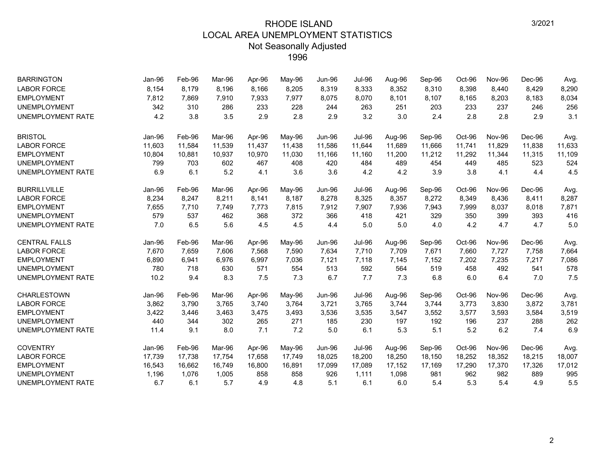| <b>BARRINGTON</b>        | Jan-96 | Feb-96 | Mar-96 | Apr-96 | May-96 | <b>Jun-96</b> | <b>Jul-96</b> | Aug-96 | Sep-96 | Oct-96 | Nov-96        | Dec-96 | Avg.   |
|--------------------------|--------|--------|--------|--------|--------|---------------|---------------|--------|--------|--------|---------------|--------|--------|
| <b>LABOR FORCE</b>       | 8,154  | 8,179  | 8,196  | 8,166  | 8,205  | 8,319         | 8,333         | 8,352  | 8,310  | 8,398  | 8,440         | 8,429  | 8,290  |
| <b>EMPLOYMENT</b>        | 7,812  | 7,869  | 7,910  | 7,933  | 7,977  | 8,075         | 8,070         | 8,101  | 8,107  | 8,165  | 8,203         | 8,183  | 8,034  |
| <b>UNEMPLOYMENT</b>      | 342    | 310    | 286    | 233    | 228    | 244           | 263           | 251    | 203    | 233    | 237           | 246    | 256    |
| <b>UNEMPLOYMENT RATE</b> | 4.2    | 3.8    | 3.5    | 2.9    | 2.8    | 2.9           | 3.2           | 3.0    | 2.4    | 2.8    | 2.8           | 2.9    | 3.1    |
| <b>BRISTOL</b>           | Jan-96 | Feb-96 | Mar-96 | Apr-96 | May-96 | <b>Jun-96</b> | <b>Jul-96</b> | Aug-96 | Sep-96 | Oct-96 | <b>Nov-96</b> | Dec-96 | Avg.   |
| <b>LABOR FORCE</b>       | 11,603 | 11,584 | 11,539 | 11,437 | 11,438 | 11,586        | 11,644        | 11,689 | 11,666 | 11,741 | 11.829        | 11,838 | 11,633 |
| <b>EMPLOYMENT</b>        | 10,804 | 10,881 | 10,937 | 10,970 | 11,030 | 11,166        | 11,160        | 11,200 | 11,212 | 11,292 | 11,344        | 11,315 | 11,109 |
| <b>UNEMPLOYMENT</b>      | 799    | 703    | 602    | 467    | 408    | 420           | 484           | 489    | 454    | 449    | 485           | 523    | 524    |
| <b>UNEMPLOYMENT RATE</b> | 6.9    | 6.1    | 5.2    | 4.1    | 3.6    | 3.6           | 4.2           | 4.2    | 3.9    | 3.8    | 4.1           | 4.4    | 4.5    |
| <b>BURRILLVILLE</b>      | Jan-96 | Feb-96 | Mar-96 | Apr-96 | May-96 | <b>Jun-96</b> | <b>Jul-96</b> | Aug-96 | Sep-96 | Oct-96 | <b>Nov-96</b> | Dec-96 | Avg.   |
| <b>LABOR FORCE</b>       | 8,234  | 8,247  | 8,211  | 8,141  | 8,187  | 8,278         | 8,325         | 8,357  | 8,272  | 8,349  | 8,436         | 8,411  | 8,287  |
| <b>EMPLOYMENT</b>        | 7,655  | 7.710  | 7,749  | 7,773  | 7,815  | 7,912         | 7,907         | 7,936  | 7,943  | 7,999  | 8,037         | 8,018  | 7,871  |
| <b>UNEMPLOYMENT</b>      | 579    | 537    | 462    | 368    | 372    | 366           | 418           | 421    | 329    | 350    | 399           | 393    | 416    |
| <b>UNEMPLOYMENT RATE</b> | 7.0    | 6.5    | 5.6    | 4.5    | 4.5    | 4.4           | 5.0           | 5.0    | 4.0    | 4.2    | 4.7           | 4.7    | 5.0    |
| <b>CENTRAL FALLS</b>     | Jan-96 | Feb-96 | Mar-96 | Apr-96 | May-96 | Jun-96        | <b>Jul-96</b> | Aug-96 | Sep-96 | Oct-96 | Nov-96        | Dec-96 | Avg.   |
| <b>LABOR FORCE</b>       | 7,670  | 7,659  | 7,606  | 7,568  | 7,590  | 7,634         | 7,710         | 7,709  | 7,671  | 7,660  | 7,727         | 7,758  | 7,664  |
| <b>EMPLOYMENT</b>        | 6,890  | 6,941  | 6,976  | 6,997  | 7,036  | 7,121         | 7,118         | 7,145  | 7,152  | 7,202  | 7,235         | 7,217  | 7,086  |
| <b>UNEMPLOYMENT</b>      | 780    | 718    | 630    | 571    | 554    | 513           | 592           | 564    | 519    | 458    | 492           | 541    | 578    |
| <b>UNEMPLOYMENT RATE</b> | 10.2   | 9.4    | 8.3    | 7.5    | 7.3    | 6.7           | 7.7           | 7.3    | 6.8    | 6.0    | 6.4           | 7.0    | 7.5    |
| <b>CHARLESTOWN</b>       | Jan-96 | Feb-96 | Mar-96 | Apr-96 | May-96 | Jun-96        | <b>Jul-96</b> | Aug-96 | Sep-96 | Oct-96 | Nov-96        | Dec-96 | Avg.   |
| <b>LABOR FORCE</b>       | 3,862  | 3,790  | 3,765  | 3,740  | 3,764  | 3,721         | 3,765         | 3,744  | 3,744  | 3,773  | 3,830         | 3,872  | 3,781  |
| <b>EMPLOYMENT</b>        | 3,422  | 3,446  | 3,463  | 3,475  | 3,493  | 3,536         | 3,535         | 3,547  | 3,552  | 3,577  | 3,593         | 3,584  | 3,519  |
| <b>UNEMPLOYMENT</b>      | 440    | 344    | 302    | 265    | 271    | 185           | 230           | 197    | 192    | 196    | 237           | 288    | 262    |
| <b>UNEMPLOYMENT RATE</b> | 11.4   | 9.1    | 8.0    | 7.1    | 7.2    | 5.0           | 6.1           | 5.3    | 5.1    | 5.2    | 6.2           | 7.4    | 6.9    |
| <b>COVENTRY</b>          | Jan-96 | Feb-96 | Mar-96 | Apr-96 | May-96 | Jun-96        | <b>Jul-96</b> | Aug-96 | Sep-96 | Oct-96 | Nov-96        | Dec-96 | Avg.   |
| <b>LABOR FORCE</b>       | 17,739 | 17,738 | 17,754 | 17,658 | 17,749 | 18,025        | 18,200        | 18,250 | 18,150 | 18,252 | 18,352        | 18,215 | 18,007 |
| <b>EMPLOYMENT</b>        | 16,543 | 16,662 | 16,749 | 16,800 | 16,891 | 17,099        | 17,089        | 17,152 | 17,169 | 17,290 | 17,370        | 17,326 | 17,012 |
| <b>UNEMPLOYMENT</b>      | 1,196  | 1,076  | 1,005  | 858    | 858    | 926           | 1,111         | 1,098  | 981    | 962    | 982           | 889    | 995    |
| <b>UNEMPLOYMENT RATE</b> | 6.7    | 6.1    | 5.7    | 4.9    | 4.8    | 5.1           | 6.1           | 6.0    | 5.4    | 5.3    | 5.4           | 4.9    | 5.5    |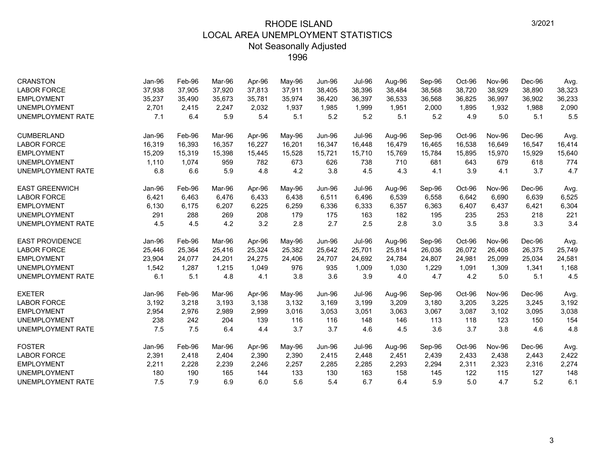| <b>CRANSTON</b>          | Jan-96 | Feb-96 | Mar-96 | Apr-96 | May-96 | <b>Jun-96</b> | <b>Jul-96</b> | Aug-96 | Sep-96 | Oct-96 | <b>Nov-96</b> | Dec-96 | Avg.   |
|--------------------------|--------|--------|--------|--------|--------|---------------|---------------|--------|--------|--------|---------------|--------|--------|
| <b>LABOR FORCE</b>       | 37,938 | 37,905 | 37.920 | 37,813 | 37,911 | 38,405        | 38,396        | 38,484 | 38,568 | 38,720 | 38.929        | 38,890 | 38,323 |
| <b>EMPLOYMENT</b>        | 35,237 | 35,490 | 35,673 | 35,781 | 35,974 | 36,420        | 36,397        | 36,533 | 36,568 | 36,825 | 36,997        | 36,902 | 36,233 |
| <b>UNEMPLOYMENT</b>      | 2,701  | 2,415  | 2.247  | 2,032  | 1,937  | 1,985         | 1,999         | 1,951  | 2,000  | 1,895  | 1,932         | 1,988  | 2,090  |
| <b>UNEMPLOYMENT RATE</b> | 7.1    | 6.4    | 5.9    | 5.4    | 5.1    | 5.2           | 5.2           | 5.1    | 5.2    | 4.9    | 5.0           | 5.1    | 5.5    |
| <b>CUMBERLAND</b>        | Jan-96 | Feb-96 | Mar-96 | Apr-96 | May-96 | <b>Jun-96</b> | <b>Jul-96</b> | Aug-96 | Sep-96 | Oct-96 | Nov-96        | Dec-96 | Avg.   |
| <b>LABOR FORCE</b>       | 16,319 | 16,393 | 16.357 | 16,227 | 16,201 | 16,347        | 16,448        | 16,479 | 16,465 | 16,538 | 16,649        | 16,547 | 16,414 |
| <b>EMPLOYMENT</b>        | 15,209 | 15,319 | 15,398 | 15,445 | 15,528 | 15,721        | 15,710        | 15,769 | 15,784 | 15,895 | 15,970        | 15,929 | 15,640 |
| <b>UNEMPLOYMENT</b>      | 1,110  | 1,074  | 959    | 782    | 673    | 626           | 738           | 710    | 681    | 643    | 679           | 618    | 774    |
| UNEMPLOYMENT RATE        | 6.8    | 6.6    | 5.9    | 4.8    | 4.2    | 3.8           | 4.5           | 4.3    | 4.1    | 3.9    | 4.1           | 3.7    | 4.7    |
| <b>EAST GREENWICH</b>    | Jan-96 | Feb-96 | Mar-96 | Apr-96 | May-96 | Jun-96        | <b>Jul-96</b> | Aug-96 | Sep-96 | Oct-96 | <b>Nov-96</b> | Dec-96 | Avg.   |
| <b>LABOR FORCE</b>       | 6,421  | 6,463  | 6,476  | 6,433  | 6,438  | 6,511         | 6,496         | 6,539  | 6,558  | 6,642  | 6,690         | 6,639  | 6,525  |
| <b>EMPLOYMENT</b>        | 6,130  | 6,175  | 6,207  | 6,225  | 6,259  | 6,336         | 6,333         | 6,357  | 6,363  | 6,407  | 6,437         | 6,421  | 6,304  |
| <b>UNEMPLOYMENT</b>      | 291    | 288    | 269    | 208    | 179    | 175           | 163           | 182    | 195    | 235    | 253           | 218    | 221    |
| UNEMPLOYMENT RATE        | 4.5    | 4.5    | 4.2    | 3.2    | 2.8    | 2.7           | 2.5           | 2.8    | 3.0    | 3.5    | 3.8           | 3.3    | 3.4    |
| <b>EAST PROVIDENCE</b>   | Jan-96 | Feb-96 | Mar-96 | Apr-96 | May-96 | <b>Jun-96</b> | <b>Jul-96</b> | Aug-96 | Sep-96 | Oct-96 | <b>Nov-96</b> | Dec-96 | Avg.   |
| <b>LABOR FORCE</b>       | 25,446 | 25,364 | 25,416 | 25,324 | 25,382 | 25,642        | 25,701        | 25,814 | 26,036 | 26,072 | 26,408        | 26,375 | 25,749 |
| <b>EMPLOYMENT</b>        | 23,904 | 24,077 | 24,201 | 24,275 | 24,406 | 24,707        | 24,692        | 24,784 | 24,807 | 24,981 | 25,099        | 25,034 | 24,581 |
| <b>UNEMPLOYMENT</b>      | 1,542  | 1,287  | 1,215  | 1,049  | 976    | 935           | 1,009         | 1,030  | 1,229  | 1,091  | 1,309         | 1,341  | 1,168  |
| UNEMPLOYMENT RATE        | 6.1    | 5.1    | 4.8    | 4.1    | 3.8    | 3.6           | 3.9           | 4.0    | 4.7    | 4.2    | 5.0           | 5.1    | 4.5    |
| <b>EXETER</b>            | Jan-96 | Feb-96 | Mar-96 | Apr-96 | May-96 | <b>Jun-96</b> | <b>Jul-96</b> | Aug-96 | Sep-96 | Oct-96 | <b>Nov-96</b> | Dec-96 | Avg.   |
| <b>LABOR FORCE</b>       | 3,192  | 3,218  | 3,193  | 3,138  | 3,132  | 3,169         | 3,199         | 3,209  | 3,180  | 3,205  | 3,225         | 3,245  | 3,192  |
| <b>EMPLOYMENT</b>        | 2,954  | 2,976  | 2,989  | 2,999  | 3,016  | 3,053         | 3,051         | 3,063  | 3,067  | 3,087  | 3,102         | 3,095  | 3,038  |
| <b>UNEMPLOYMENT</b>      | 238    | 242    | 204    | 139    | 116    | 116           | 148           | 146    | 113    | 118    | 123           | 150    | 154    |
| UNEMPLOYMENT RATE        | 7.5    | 7.5    | 6.4    | 4.4    | 3.7    | 3.7           | 4.6           | 4.5    | 3.6    | 3.7    | 3.8           | 4.6    | 4.8    |
| <b>FOSTER</b>            | Jan-96 | Feb-96 | Mar-96 | Apr-96 | May-96 | <b>Jun-96</b> | <b>Jul-96</b> | Aug-96 | Sep-96 | Oct-96 | Nov-96        | Dec-96 | Avg.   |
| <b>LABOR FORCE</b>       | 2,391  | 2,418  | 2,404  | 2,390  | 2,390  | 2,415         | 2,448         | 2,451  | 2,439  | 2,433  | 2,438         | 2,443  | 2,422  |
| <b>EMPLOYMENT</b>        | 2,211  | 2,228  | 2,239  | 2,246  | 2,257  | 2,285         | 2,285         | 2,293  | 2,294  | 2,311  | 2,323         | 2,316  | 2,274  |
| <b>UNEMPLOYMENT</b>      | 180    | 190    | 165    | 144    | 133    | 130           | 163           | 158    | 145    | 122    | 115           | 127    | 148    |
| UNEMPLOYMENT RATE        | 7.5    | 7.9    | 6.9    | 6.0    | 5.6    | 5.4           | 6.7           | 6.4    | 5.9    | 5.0    | 4.7           | 5.2    | 6.1    |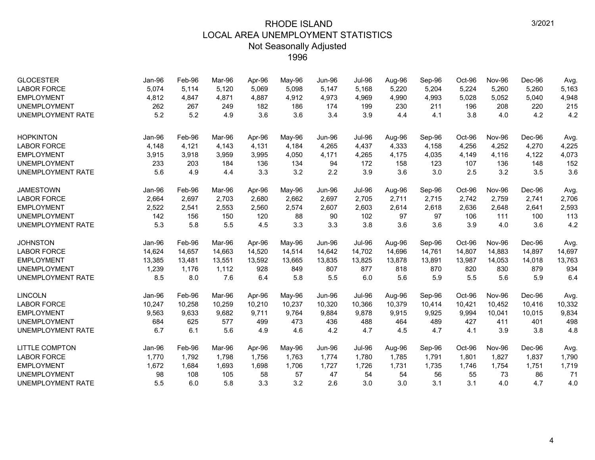| <b>GLOCESTER</b><br><b>LABOR FORCE</b> | Jan-96<br>5,074 | Feb-96<br>5,114 | Mar-96<br>5,120 | Apr-96<br>5,069 | May-96<br>5,098 | <b>Jun-96</b><br>5,147 | <b>Jul-96</b><br>5,168 | Aug-96<br>5,220 | Sep-96<br>5,204 | Oct-96<br>5,224 | <b>Nov-96</b><br>5,260 | Dec-96<br>5,260 | Avg.<br>5,163 |
|----------------------------------------|-----------------|-----------------|-----------------|-----------------|-----------------|------------------------|------------------------|-----------------|-----------------|-----------------|------------------------|-----------------|---------------|
| <b>EMPLOYMENT</b>                      | 4,812           | 4,847           | 4,871           | 4,887           | 4,912           | 4,973                  | 4,969                  | 4,990           | 4,993           | 5,028           | 5,052                  | 5,040           | 4,948         |
| <b>UNEMPLOYMENT</b>                    | 262             | 267             | 249             | 182             | 186             | 174                    | 199                    | 230             | 211             | 196             | 208                    | 220             | 215           |
| <b>UNEMPLOYMENT RATE</b>               | 5.2             | 5.2             | 4.9             | 3.6             | 3.6             | 3.4                    | 3.9                    | 4.4             | 4.1             | 3.8             | 4.0                    | 4.2             | 4.2           |
| <b>HOPKINTON</b>                       | Jan-96          | Feb-96          | Mar-96          | Apr-96          | May-96          | Jun-96                 | <b>Jul-96</b>          | Aug-96          | Sep-96          | Oct-96          | Nov-96                 | Dec-96          | Avg.          |
| <b>LABOR FORCE</b>                     | 4,148           | 4,121           | 4,143           | 4.131           | 4,184           | 4,265                  | 4,437                  | 4,333           | 4,158           | 4,256           | 4,252                  | 4,270           | 4,225         |
| <b>EMPLOYMENT</b>                      | 3,915           | 3,918           | 3,959           | 3,995           | 4,050           | 4,171                  | 4,265                  | 4,175           | 4,035           | 4,149           | 4,116                  | 4,122           | 4,073         |
| <b>UNEMPLOYMENT</b>                    | 233             | 203             | 184             | 136             | 134             | 94                     | 172                    | 158             | 123             | 107             | 136                    | 148             | 152           |
| <b>UNEMPLOYMENT RATE</b>               | 5.6             | 4.9             | 4.4             | 3.3             | 3.2             | 2.2                    | 3.9                    | 3.6             | 3.0             | 2.5             | 3.2                    | 3.5             | 3.6           |
| <b>JAMESTOWN</b>                       | Jan-96          | Feb-96          | Mar-96          | Apr-96          | May-96          | Jun-96                 | <b>Jul-96</b>          | Aug-96          | Sep-96          | Oct-96          | Nov-96                 | Dec-96          | Avg.          |
| <b>LABOR FORCE</b>                     | 2,664           | 2,697           | 2,703           | 2,680           | 2,662           | 2,697                  | 2,705                  | 2,711           | 2,715           | 2,742           | 2,759                  | 2,741           | 2,706         |
| <b>EMPLOYMENT</b>                      | 2,522           | 2,541           | 2,553           | 2,560           | 2,574           | 2,607                  | 2,603                  | 2,614           | 2,618           | 2,636           | 2,648                  | 2,641           | 2,593         |
| <b>UNEMPLOYMENT</b>                    | 142             | 156             | 150             | 120             | 88              | 90                     | 102                    | 97              | 97              | 106             | 111                    | 100             | 113           |
| <b>UNEMPLOYMENT RATE</b>               | 5.3             | 5.8             | 5.5             | 4.5             | 3.3             | 3.3                    | 3.8                    | 3.6             | 3.6             | 3.9             | 4.0                    | 3.6             | 4.2           |
| <b>JOHNSTON</b>                        | Jan-96          | Feb-96          | Mar-96          | Apr-96          | May-96          | <b>Jun-96</b>          | <b>Jul-96</b>          | Aug-96          | Sep-96          | Oct-96          | <b>Nov-96</b>          | Dec-96          | Avg.          |
| <b>LABOR FORCE</b>                     | 14,624          | 14,657          | 14,663          | 14,520          | 14,514          | 14,642                 | 14,702                 | 14,696          | 14,761          | 14,807          | 14,883                 | 14,897          | 14,697        |
| <b>EMPLOYMENT</b>                      | 13,385          | 13,481          | 13,551          | 13,592          | 13,665          | 13,835                 | 13,825                 | 13,878          | 13,891          | 13,987          | 14,053                 | 14,018          | 13,763        |
| <b>UNEMPLOYMENT</b>                    | 1,239           | 1,176           | 1,112           | 928             | 849             | 807                    | 877                    | 818             | 870             | 820             | 830                    | 879             | 934           |
| <b>UNEMPLOYMENT RATE</b>               | 8.5             | 8.0             | 7.6             | 6.4             | 5.8             | 5.5                    | 6.0                    | 5.6             | 5.9             | 5.5             | 5.6                    | 5.9             | 6.4           |
| <b>LINCOLN</b>                         | Jan-96          | Feb-96          | Mar-96          | Apr-96          | May-96          | Jun-96                 | <b>Jul-96</b>          | Aug-96          | Sep-96          | Oct-96          | <b>Nov-96</b>          | Dec-96          | Avg.          |
| <b>LABOR FORCE</b>                     | 10,247          | 10,258          | 10,259          | 10,210          | 10,237          | 10,320                 | 10,366                 | 10,379          | 10,414          | 10,421          | 10.452                 | 10,416          | 10,332        |
| <b>EMPLOYMENT</b>                      | 9,563           | 9,633           | 9,682           | 9,711           | 9,764           | 9,884                  | 9,878                  | 9,915           | 9,925           | 9,994           | 10,041                 | 10,015          | 9,834         |
| <b>UNEMPLOYMENT</b>                    | 684             | 625             | 577             | 499             | 473             | 436                    | 488                    | 464             | 489             | 427             | 411                    | 401             | 498           |
| <b>UNEMPLOYMENT RATE</b>               | 6.7             | 6.1             | 5.6             | 4.9             | 4.6             | 4.2                    | 4.7                    | 4.5             | 4.7             | 4.1             | 3.9                    | 3.8             | 4.8           |
| <b>LITTLE COMPTON</b>                  | Jan-96          | Feb-96          | Mar-96          | Apr-96          | May-96          | Jun-96                 | <b>Jul-96</b>          | Aug-96          | Sep-96          | Oct-96          | <b>Nov-96</b>          | Dec-96          | Avg.          |
| <b>LABOR FORCE</b>                     | 1,770           | 1,792           | 1,798           | 1,756           | 1,763           | 1,774                  | 1,780                  | 1,785           | 1,791           | 1,801           | 1,827                  | 1,837           | 1,790         |
| <b>EMPLOYMENT</b>                      | 1,672           | 1,684           | 1,693           | 1,698           | 1,706           | 1,727                  | 1,726                  | 1,731           | 1,735           | 1,746           | 1,754                  | 1,751           | 1,719         |
| <b>UNEMPLOYMENT</b>                    | 98              | 108             | 105             | 58              | 57              | 47                     | 54                     | 54              | 56              | 55              | 73                     | 86              | 71            |
| <b>UNEMPLOYMENT RATE</b>               | 5.5             | 6.0             | 5.8             | 3.3             | 3.2             | 2.6                    | 3.0                    | 3.0             | 3.1             | 3.1             | 4.0                    | 4.7             | 4.0           |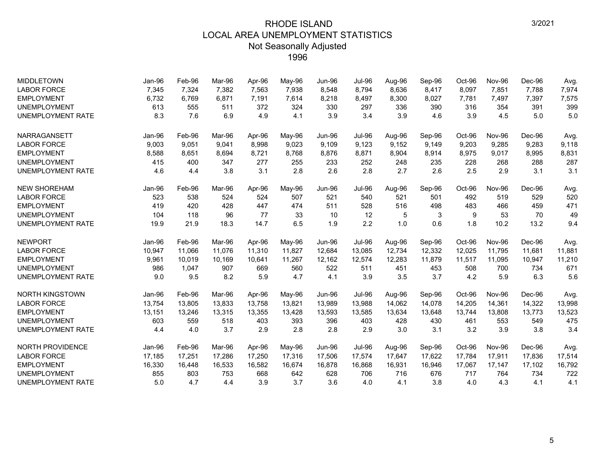| <b>MIDDLETOWN</b>        | Jan-96 | Feb-96 | Mar-96 | Apr-96 | May-96 | <b>Jun-96</b> | <b>Jul-96</b> | Aug-96 | Sep-96 | Oct-96 | Nov-96        | Dec-96 | Avg.   |
|--------------------------|--------|--------|--------|--------|--------|---------------|---------------|--------|--------|--------|---------------|--------|--------|
| <b>LABOR FORCE</b>       | 7,345  | 7,324  | 7,382  | 7,563  | 7,938  | 8,548         | 8,794         | 8,636  | 8,417  | 8,097  | 7,851         | 7,788  | 7,974  |
| <b>EMPLOYMENT</b>        | 6,732  | 6,769  | 6,871  | 7,191  | 7,614  | 8,218         | 8,497         | 8,300  | 8,027  | 7,781  | 7,497         | 7,397  | 7,575  |
| <b>UNEMPLOYMENT</b>      | 613    | 555    | 511    | 372    | 324    | 330           | 297           | 336    | 390    | 316    | 354           | 391    | 399    |
| <b>UNEMPLOYMENT RATE</b> | 8.3    | 7.6    | 6.9    | 4.9    | 4.1    | 3.9           | 3.4           | 3.9    | 4.6    | 3.9    | 4.5           | 5.0    | 5.0    |
| NARRAGANSETT             | Jan-96 | Feb-96 | Mar-96 | Apr-96 | May-96 | <b>Jun-96</b> | <b>Jul-96</b> | Aug-96 | Sep-96 | Oct-96 | Nov-96        | Dec-96 | Avg.   |
| <b>LABOR FORCE</b>       | 9,003  | 9,051  | 9.041  | 8,998  | 9,023  | 9.109         | 9,123         | 9.152  | 9,149  | 9,203  | 9,285         | 9,283  | 9,118  |
| <b>EMPLOYMENT</b>        | 8,588  | 8,651  | 8,694  | 8,721  | 8,768  | 8,876         | 8,871         | 8,904  | 8,914  | 8,975  | 9,017         | 8,995  | 8,831  |
| <b>UNEMPLOYMENT</b>      | 415    | 400    | 347    | 277    | 255    | 233           | 252           | 248    | 235    | 228    | 268           | 288    | 287    |
| <b>UNEMPLOYMENT RATE</b> | 4.6    | 4.4    | 3.8    | 3.1    | 2.8    | 2.6           | 2.8           | 2.7    | 2.6    | 2.5    | 2.9           | 3.1    | 3.1    |
| <b>NEW SHOREHAM</b>      | Jan-96 | Feb-96 | Mar-96 | Apr-96 | May-96 | Jun-96        | <b>Jul-96</b> | Aug-96 | Sep-96 | Oct-96 | <b>Nov-96</b> | Dec-96 | Avg.   |
| <b>LABOR FORCE</b>       | 523    | 538    | 524    | 524    | 507    | 521           | 540           | 521    | 501    | 492    | 519           | 529    | 520    |
| <b>EMPLOYMENT</b>        | 419    | 420    | 428    | 447    | 474    | 511           | 528           | 516    | 498    | 483    | 466           | 459    | 471    |
| <b>UNEMPLOYMENT</b>      | 104    | 118    | 96     | 77     | 33     | 10            | 12            | 5      | 3      | 9      | 53            | 70     | 49     |
| <b>UNEMPLOYMENT RATE</b> | 19.9   | 21.9   | 18.3   | 14.7   | 6.5    | 1.9           | 2.2           | 1.0    | 0.6    | 1.8    | 10.2          | 13.2   | 9.4    |
| <b>NEWPORT</b>           | Jan-96 | Feb-96 | Mar-96 | Apr-96 | May-96 | Jun-96        | <b>Jul-96</b> | Aug-96 | Sep-96 | Oct-96 | Nov-96        | Dec-96 | Avg.   |
| <b>LABOR FORCE</b>       | 10,947 | 11,066 | 11,076 | 11,310 | 11,827 | 12,684        | 13,085        | 12,734 | 12,332 | 12,025 | 11,795        | 11,681 | 11,881 |
| <b>EMPLOYMENT</b>        | 9,961  | 10,019 | 10,169 | 10,641 | 11,267 | 12,162        | 12,574        | 12,283 | 11,879 | 11,517 | 11,095        | 10,947 | 11,210 |
| <b>UNEMPLOYMENT</b>      | 986    | 1,047  | 907    | 669    | 560    | 522           | 511           | 451    | 453    | 508    | 700           | 734    | 671    |
| <b>UNEMPLOYMENT RATE</b> | 9.0    | 9.5    | 8.2    | 5.9    | 4.7    | 4.1           | 3.9           | 3.5    | 3.7    | 4.2    | 5.9           | 6.3    | 5.6    |
| <b>NORTH KINGSTOWN</b>   | Jan-96 | Feb-96 | Mar-96 | Apr-96 | May-96 | Jun-96        | <b>Jul-96</b> | Aug-96 | Sep-96 | Oct-96 | Nov-96        | Dec-96 | Avg.   |
| <b>LABOR FORCE</b>       | 13,754 | 13,805 | 13,833 | 13,758 | 13,821 | 13,989        | 13,988        | 14,062 | 14,078 | 14,205 | 14,361        | 14,322 | 13,998 |
| <b>EMPLOYMENT</b>        | 13.151 | 13,246 | 13.315 | 13.355 | 13,428 | 13,593        | 13,585        | 13,634 | 13,648 | 13.744 | 13.808        | 13.773 | 13,523 |
| <b>UNEMPLOYMENT</b>      | 603    | 559    | 518    | 403    | 393    | 396           | 403           | 428    | 430    | 461    | 553           | 549    | 475    |
| <b>UNEMPLOYMENT RATE</b> | 4.4    | 4.0    | 3.7    | 2.9    | 2.8    | 2.8           | 2.9           | 3.0    | 3.1    | 3.2    | 3.9           | 3.8    | 3.4    |
| <b>NORTH PROVIDENCE</b>  | Jan-96 | Feb-96 | Mar-96 | Apr-96 | May-96 | <b>Jun-96</b> | <b>Jul-96</b> | Aug-96 | Sep-96 | Oct-96 | <b>Nov-96</b> | Dec-96 | Avg.   |
| <b>LABOR FORCE</b>       | 17,185 | 17,251 | 17,286 | 17,250 | 17,316 | 17,506        | 17,574        | 17,647 | 17,622 | 17,784 | 17,911        | 17,836 | 17,514 |
| <b>EMPLOYMENT</b>        | 16,330 | 16,448 | 16,533 | 16,582 | 16,674 | 16,878        | 16,868        | 16,931 | 16,946 | 17,067 | 17,147        | 17,102 | 16,792 |
| <b>UNEMPLOYMENT</b>      | 855    | 803    | 753    | 668    | 642    | 628           | 706           | 716    | 676    | 717    | 764           | 734    | 722    |
| <b>UNEMPLOYMENT RATE</b> | 5.0    | 4.7    | 4.4    | 3.9    | 3.7    | 3.6           | 4.0           | 4.1    | 3.8    | 4.0    | 4.3           | 4.1    | 4.1    |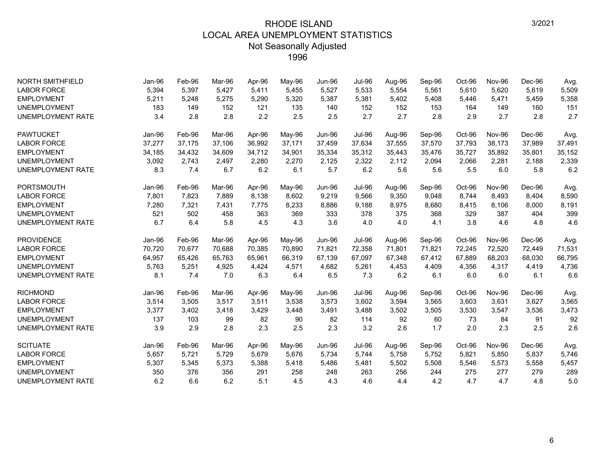| <b>NORTH SMITHFIELD</b>  | Jan-96 | Feb-96 | Mar-96 | Apr-96 | May-96 | <b>Jun-96</b> | <b>Jul-96</b> | Aug-96 | Sep-96 | Oct-96 | <b>Nov-96</b> | Dec-96 | Avg.   |
|--------------------------|--------|--------|--------|--------|--------|---------------|---------------|--------|--------|--------|---------------|--------|--------|
| <b>LABOR FORCE</b>       | 5,394  | 5,397  | 5.427  | 5,411  | 5,455  | 5,527         | 5,533         | 5,554  | 5,561  | 5,610  | 5,620         | 5,619  | 5,509  |
| <b>EMPLOYMENT</b>        | 5,211  | 5,248  | 5,275  | 5,290  | 5,320  | 5,387         | 5,381         | 5,402  | 5,408  | 5,446  | 5,471         | 5,459  | 5,358  |
| <b>UNEMPLOYMENT</b>      | 183    | 149    | 152    | 121    | 135    | 140           | 152           | 152    | 153    | 164    | 149           | 160    | 151    |
| <b>UNEMPLOYMENT RATE</b> | 3.4    | 2.8    | 2.8    | 2.2    | 2.5    | 2.5           | 2.7           | 2.7    | 2.8    | 2.9    | 2.7           | 2.8    | 2.7    |
| <b>PAWTUCKET</b>         | Jan-96 | Feb-96 | Mar-96 | Apr-96 | May-96 | Jun-96        | <b>Jul-96</b> | Aug-96 | Sep-96 | Oct-96 | Nov-96        | Dec-96 | Avg.   |
| <b>LABOR FORCE</b>       | 37,277 | 37,175 | 37.106 | 36,992 | 37,171 | 37,459        | 37,634        | 37,555 | 37,570 | 37,793 | 38,173        | 37,989 | 37,491 |
| <b>EMPLOYMENT</b>        | 34,185 | 34,432 | 34,609 | 34,712 | 34,901 | 35,334        | 35,312        | 35,443 | 35,476 | 35,727 | 35,892        | 35,801 | 35,152 |
| <b>UNEMPLOYMENT</b>      | 3,092  | 2,743  | 2,497  | 2,280  | 2,270  | 2,125         | 2,322         | 2,112  | 2,094  | 2,066  | 2,281         | 2,188  | 2,339  |
| <b>UNEMPLOYMENT RATE</b> | 8.3    | 7.4    | 6.7    | 6.2    | 6.1    | 5.7           | 6.2           | 5.6    | 5.6    | 5.5    | 6.0           | 5.8    | 6.2    |
| <b>PORTSMOUTH</b>        | Jan-96 | Feb-96 | Mar-96 | Apr-96 | May-96 | Jun-96        | <b>Jul-96</b> | Aug-96 | Sep-96 | Oct-96 | <b>Nov-96</b> | Dec-96 | Avg.   |
| <b>LABOR FORCE</b>       | 7,801  | 7,823  | 7,889  | 8,138  | 8,602  | 9,219         | 9,566         | 9,350  | 9,048  | 8,744  | 8,493         | 8,404  | 8,590  |
| <b>EMPLOYMENT</b>        | 7,280  | 7,321  | 7,431  | 7,775  | 8,233  | 8,886         | 9,188         | 8,975  | 8,680  | 8,415  | 8,106         | 8,000  | 8,191  |
| <b>UNEMPLOYMENT</b>      | 521    | 502    | 458    | 363    | 369    | 333           | 378           | 375    | 368    | 329    | 387           | 404    | 399    |
| <b>UNEMPLOYMENT RATE</b> | 6.7    | 6.4    | 5.8    | 4.5    | 4.3    | 3.6           | 4.0           | 4.0    | 4.1    | 3.8    | 4.6           | 4.8    | 4.6    |
| <b>PROVIDENCE</b>        | Jan-96 | Feb-96 | Mar-96 | Apr-96 | May-96 | <b>Jun-96</b> | <b>Jul-96</b> | Aug-96 | Sep-96 | Oct-96 | <b>Nov-96</b> | Dec-96 | Avg.   |
| <b>LABOR FORCE</b>       | 70,720 | 70,677 | 70,688 | 70,385 | 70,890 | 71,821        | 72,358        | 71,801 | 71,821 | 72,245 | 72,520        | 72,449 | 71,531 |
| <b>EMPLOYMENT</b>        | 64,957 | 65,426 | 65.763 | 65,961 | 66,319 | 67,139        | 67,097        | 67,348 | 67,412 | 67,889 | 68,203        | 68,030 | 66,795 |
| <b>UNEMPLOYMENT</b>      | 5,763  | 5,251  | 4,925  | 4,424  | 4,571  | 4,682         | 5,261         | 4,453  | 4,409  | 4,356  | 4,317         | 4,419  | 4,736  |
| <b>UNEMPLOYMENT RATE</b> | 8.1    | 7.4    | 7.0    | 6.3    | 6.4    | 6.5           | 7.3           | 6.2    | 6.1    | 6.0    | 6.0           | 6.1    | 6.6    |
| <b>RICHMOND</b>          | Jan-96 | Feb-96 | Mar-96 | Apr-96 | May-96 | Jun-96        | <b>Jul-96</b> | Aug-96 | Sep-96 | Oct-96 | Nov-96        | Dec-96 | Avg.   |
| <b>LABOR FORCE</b>       | 3,514  | 3,505  | 3,517  | 3,511  | 3,538  | 3,573         | 3,602         | 3,594  | 3,565  | 3,603  | 3,631         | 3,627  | 3,565  |
| <b>EMPLOYMENT</b>        | 3,377  | 3,402  | 3,418  | 3,429  | 3,448  | 3,491         | 3,488         | 3,502  | 3,505  | 3,530  | 3,547         | 3,536  | 3,473  |
| <b>UNEMPLOYMENT</b>      | 137    | 103    | 99     | 82     | 90     | 82            | 114           | 92     | 60     | 73     | 84            | 91     | 92     |
| <b>UNEMPLOYMENT RATE</b> | 3.9    | 2.9    | 2.8    | 2.3    | 2.5    | 2.3           | 3.2           | 2.6    | 1.7    | 2.0    | 2.3           | 2.5    | 2.6    |
| <b>SCITUATE</b>          | Jan-96 | Feb-96 | Mar-96 | Apr-96 | May-96 | Jun-96        | <b>Jul-96</b> | Aug-96 | Sep-96 | Oct-96 | Nov-96        | Dec-96 | Avg.   |
| <b>LABOR FORCE</b>       | 5,657  | 5,721  | 5,729  | 5,679  | 5,676  | 5,734         | 5,744         | 5,758  | 5,752  | 5,821  | 5,850         | 5,837  | 5,746  |
| <b>EMPLOYMENT</b>        | 5,307  | 5,345  | 5,373  | 5,388  | 5,418  | 5,486         | 5,481         | 5,502  | 5,508  | 5,546  | 5,573         | 5,558  | 5,457  |
| <b>UNEMPLOYMENT</b>      | 350    | 376    | 356    | 291    | 258    | 248           | 263           | 256    | 244    | 275    | 277           | 279    | 289    |
| <b>UNEMPLOYMENT RATE</b> | 6.2    | 6.6    | 6.2    | 5.1    | 4.5    | 4.3           | 4.6           | 4.4    | 4.2    | 4.7    | 4.7           | 4.8    | 5.0    |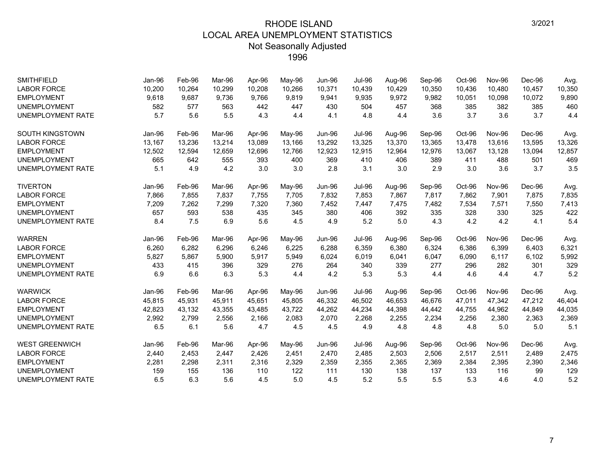| <b>SMITHFIELD</b>        | Jan-96 | Feb-96 | Mar-96 | Apr-96 | May-96 | <b>Jun-96</b> | <b>Jul-96</b> | Aug-96 | Sep-96 | Oct-96 | <b>Nov-96</b> | Dec-96 | Avg.   |
|--------------------------|--------|--------|--------|--------|--------|---------------|---------------|--------|--------|--------|---------------|--------|--------|
| <b>LABOR FORCE</b>       | 10,200 | 10,264 | 10,299 | 10,208 | 10,266 | 10,371        | 10,439        | 10,429 | 10,350 | 10,436 | 10,480        | 10,457 | 10,350 |
| <b>EMPLOYMENT</b>        | 9,618  | 9,687  | 9,736  | 9,766  | 9,819  | 9,941         | 9,935         | 9,972  | 9,982  | 10,051 | 10,098        | 10,072 | 9,890  |
| <b>UNEMPLOYMENT</b>      | 582    | 577    | 563    | 442    | 447    | 430           | 504           | 457    | 368    | 385    | 382           | 385    | 460    |
| <b>UNEMPLOYMENT RATE</b> | 5.7    | 5.6    | 5.5    | 4.3    | 4.4    | 4.1           | 4.8           | 4.4    | 3.6    | 3.7    | 3.6           | 3.7    | 4.4    |
| SOUTH KINGSTOWN          | Jan-96 | Feb-96 | Mar-96 | Apr-96 | May-96 | <b>Jun-96</b> | <b>Jul-96</b> | Aug-96 | Sep-96 | Oct-96 | <b>Nov-96</b> | Dec-96 | Avg.   |
| <b>LABOR FORCE</b>       | 13,167 | 13,236 | 13,214 | 13,089 | 13,166 | 13,292        | 13,325        | 13,370 | 13,365 | 13,478 | 13,616        | 13,595 | 13,326 |
| <b>EMPLOYMENT</b>        | 12,502 | 12,594 | 12,659 | 12.696 | 12,766 | 12,923        | 12.915        | 12,964 | 12,976 | 13,067 | 13,128        | 13,094 | 12,857 |
| <b>UNEMPLOYMENT</b>      | 665    | 642    | 555    | 393    | 400    | 369           | 410           | 406    | 389    | 411    | 488           | 501    | 469    |
| <b>UNEMPLOYMENT RATE</b> | 5.1    | 4.9    | 4.2    | 3.0    | 3.0    | 2.8           | 3.1           | 3.0    | 2.9    | 3.0    | 3.6           | 3.7    | 3.5    |
| <b>TIVERTON</b>          | Jan-96 | Feb-96 | Mar-96 | Apr-96 | May-96 | <b>Jun-96</b> | <b>Jul-96</b> | Aug-96 | Sep-96 | Oct-96 | Nov-96        | Dec-96 | Avg.   |
| <b>LABOR FORCE</b>       | 7,866  | 7,855  | 7,837  | 7,755  | 7,705  | 7,832         | 7,853         | 7,867  | 7,817  | 7,862  | 7,901         | 7,875  | 7,835  |
| <b>EMPLOYMENT</b>        | 7,209  | 7,262  | 7,299  | 7,320  | 7,360  | 7,452         | 7,447         | 7,475  | 7,482  | 7,534  | 7,571         | 7,550  | 7,413  |
| <b>UNEMPLOYMENT</b>      | 657    | 593    | 538    | 435    | 345    | 380           | 406           | 392    | 335    | 328    | 330           | 325    | 422    |
| <b>UNEMPLOYMENT RATE</b> | 8.4    | 7.5    | 6.9    | 5.6    | 4.5    | 4.9           | 5.2           | 5.0    | 4.3    | 4.2    | 4.2           | 4.1    | 5.4    |
| <b>WARREN</b>            | Jan-96 | Feb-96 | Mar-96 | Apr-96 | May-96 | <b>Jun-96</b> | <b>Jul-96</b> | Aug-96 | Sep-96 | Oct-96 | <b>Nov-96</b> | Dec-96 | Avg.   |
| <b>LABOR FORCE</b>       | 6,260  | 6,282  | 6,296  | 6,246  | 6,225  | 6,288         | 6,359         | 6,380  | 6,324  | 6,386  | 6,399         | 6,403  | 6,321  |
| <b>EMPLOYMENT</b>        | 5,827  | 5,867  | 5,900  | 5,917  | 5,949  | 6,024         | 6,019         | 6,041  | 6,047  | 6,090  | 6,117         | 6,102  | 5,992  |
| <b>UNEMPLOYMENT</b>      | 433    | 415    | 396    | 329    | 276    | 264           | 340           | 339    | 277    | 296    | 282           | 301    | 329    |
| <b>UNEMPLOYMENT RATE</b> | 6.9    | 6.6    | 6.3    | 5.3    | 4.4    | 4.2           | 5.3           | 5.3    | 4.4    | 4.6    | 4.4           | 4.7    | 5.2    |
| <b>WARWICK</b>           | Jan-96 | Feb-96 | Mar-96 | Apr-96 | May-96 | <b>Jun-96</b> | <b>Jul-96</b> | Aug-96 | Sep-96 | Oct-96 | <b>Nov-96</b> | Dec-96 | Avg.   |
| <b>LABOR FORCE</b>       | 45,815 | 45,931 | 45.911 | 45.651 | 45,805 | 46,332        | 46,502        | 46,653 | 46,676 | 47,011 | 47,342        | 47,212 | 46,404 |
| <b>EMPLOYMENT</b>        | 42,823 | 43,132 | 43,355 | 43,485 | 43,722 | 44,262        | 44,234        | 44,398 | 44,442 | 44,755 | 44,962        | 44,849 | 44,035 |
| <b>UNEMPLOYMENT</b>      | 2,992  | 2,799  | 2,556  | 2,166  | 2,083  | 2,070         | 2,268         | 2,255  | 2,234  | 2,256  | 2,380         | 2,363  | 2,369  |
| <b>UNEMPLOYMENT RATE</b> | 6.5    | 6.1    | 5.6    | 4.7    | 4.5    | 4.5           | 4.9           | 4.8    | 4.8    | 4.8    | 5.0           | 5.0    | 5.1    |
| <b>WEST GREENWICH</b>    | Jan-96 | Feb-96 | Mar-96 | Apr-96 | May-96 | <b>Jun-96</b> | <b>Jul-96</b> | Aug-96 | Sep-96 | Oct-96 | <b>Nov-96</b> | Dec-96 | Avg.   |
| <b>LABOR FORCE</b>       | 2,440  | 2,453  | 2,447  | 2,426  | 2,451  | 2,470         | 2,485         | 2,503  | 2,506  | 2,517  | 2,511         | 2,489  | 2,475  |
| <b>EMPLOYMENT</b>        | 2,281  | 2,298  | 2,311  | 2,316  | 2,329  | 2,359         | 2,355         | 2,365  | 2,369  | 2,384  | 2,395         | 2,390  | 2,346  |
| <b>UNEMPLOYMENT</b>      | 159    | 155    | 136    | 110    | 122    | 111           | 130           | 138    | 137    | 133    | 116           | 99     | 129    |
| <b>UNEMPLOYMENT RATE</b> | 6.5    | 6.3    | 5.6    | 4.5    | 5.0    | 4.5           | 5.2           | 5.5    | 5.5    | 5.3    | 4.6           | 4.0    | 5.2    |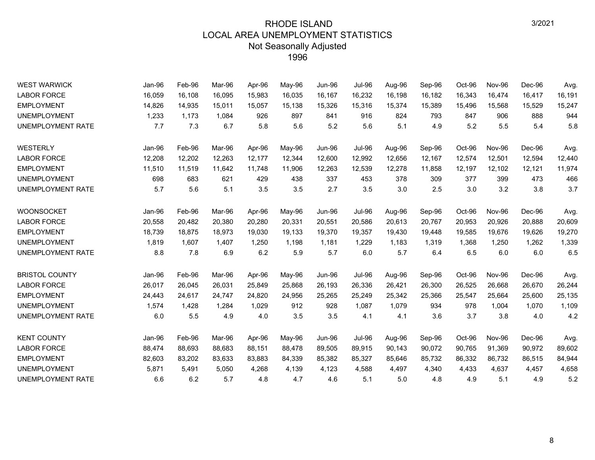| <b>WEST WARWICK</b>      | Jan-96 | Feb-96 | Mar-96 | Apr-96 | May-96 | <b>Jun-96</b> | <b>Jul-96</b> | Aug-96 | Sep-96 | Oct-96 | <b>Nov-96</b> | Dec-96 | Avg.   |
|--------------------------|--------|--------|--------|--------|--------|---------------|---------------|--------|--------|--------|---------------|--------|--------|
| <b>LABOR FORCE</b>       | 16,059 | 16,108 | 16,095 | 15,983 | 16,035 | 16,167        | 16,232        | 16,198 | 16,182 | 16,343 | 16,474        | 16,417 | 16,191 |
| <b>EMPLOYMENT</b>        | 14,826 | 14,935 | 15,011 | 15,057 | 15,138 | 15,326        | 15,316        | 15,374 | 15,389 | 15,496 | 15,568        | 15,529 | 15,247 |
| <b>UNEMPLOYMENT</b>      | 1,233  | 1,173  | 1,084  | 926    | 897    | 841           | 916           | 824    | 793    | 847    | 906           | 888    | 944    |
| <b>UNEMPLOYMENT RATE</b> | 7.7    | 7.3    | 6.7    | 5.8    | 5.6    | 5.2           | 5.6           | 5.1    | 4.9    | 5.2    | 5.5           | 5.4    | 5.8    |
| WESTERLY                 | Jan-96 | Feb-96 | Mar-96 | Apr-96 | May-96 | <b>Jun-96</b> | <b>Jul-96</b> | Aug-96 | Sep-96 | Oct-96 | <b>Nov-96</b> | Dec-96 | Avg.   |
| <b>LABOR FORCE</b>       | 12,208 | 12,202 | 12,263 | 12,177 | 12,344 | 12,600        | 12,992        | 12,656 | 12,167 | 12,574 | 12,501        | 12,594 | 12,440 |
| <b>EMPLOYMENT</b>        | 11,510 | 11,519 | 11,642 | 11,748 | 11,906 | 12,263        | 12,539        | 12,278 | 11,858 | 12,197 | 12,102        | 12,121 | 11,974 |
| <b>UNEMPLOYMENT</b>      | 698    | 683    | 621    | 429    | 438    | 337           | 453           | 378    | 309    | 377    | 399           | 473    | 466    |
| UNEMPLOYMENT RATE        | 5.7    | 5.6    | 5.1    | 3.5    | 3.5    | 2.7           | 3.5           | 3.0    | 2.5    | 3.0    | 3.2           | 3.8    | 3.7    |
| <b>WOONSOCKET</b>        | Jan-96 | Feb-96 | Mar-96 | Apr-96 | May-96 | <b>Jun-96</b> | <b>Jul-96</b> | Aug-96 | Sep-96 | Oct-96 | Nov-96        | Dec-96 | Avg.   |
| <b>LABOR FORCE</b>       | 20,558 | 20,482 | 20,380 | 20,280 | 20,331 | 20,551        | 20,586        | 20,613 | 20,767 | 20,953 | 20,926        | 20,888 | 20,609 |
| <b>EMPLOYMENT</b>        | 18,739 | 18,875 | 18,973 | 19,030 | 19,133 | 19,370        | 19,357        | 19,430 | 19,448 | 19,585 | 19,676        | 19,626 | 19,270 |
| <b>UNEMPLOYMENT</b>      | 1,819  | 1,607  | 1,407  | 1,250  | 1,198  | 1,181         | 1,229         | 1,183  | 1,319  | 1,368  | 1,250         | 1,262  | 1,339  |
| UNEMPLOYMENT RATE        | 8.8    | 7.8    | 6.9    | 6.2    | 5.9    | 5.7           | 6.0           | 5.7    | 6.4    | 6.5    | 6.0           | 6.0    | 6.5    |
| <b>BRISTOL COUNTY</b>    | Jan-96 | Feb-96 | Mar-96 | Apr-96 | May-96 | Jun-96        | <b>Jul-96</b> | Aug-96 | Sep-96 | Oct-96 | <b>Nov-96</b> | Dec-96 | Avg.   |
| <b>LABOR FORCE</b>       | 26,017 | 26,045 | 26,031 | 25,849 | 25,868 | 26,193        | 26,336        | 26,421 | 26,300 | 26,525 | 26,668        | 26,670 | 26,244 |
| <b>EMPLOYMENT</b>        | 24,443 | 24,617 | 24,747 | 24,820 | 24,956 | 25,265        | 25,249        | 25,342 | 25,366 | 25,547 | 25,664        | 25,600 | 25,135 |
| <b>UNEMPLOYMENT</b>      | 1,574  | 1,428  | 1,284  | 1,029  | 912    | 928           | 1,087         | 1,079  | 934    | 978    | 1,004         | 1,070  | 1,109  |
| UNEMPLOYMENT RATE        | 6.0    | 5.5    | 4.9    | 4.0    | 3.5    | 3.5           | 4.1           | 4.1    | 3.6    | 3.7    | 3.8           | 4.0    | 4.2    |
| <b>KENT COUNTY</b>       | Jan-96 | Feb-96 | Mar-96 | Apr-96 | May-96 | <b>Jun-96</b> | <b>Jul-96</b> | Aug-96 | Sep-96 | Oct-96 | <b>Nov-96</b> | Dec-96 | Avg.   |
| <b>LABOR FORCE</b>       | 88,474 | 88,693 | 88,683 | 88,151 | 88,478 | 89,505        | 89,915        | 90,143 | 90,072 | 90,765 | 91,369        | 90,972 | 89,602 |
| <b>EMPLOYMENT</b>        | 82,603 | 83,202 | 83,633 | 83,883 | 84,339 | 85,382        | 85,327        | 85,646 | 85,732 | 86,332 | 86,732        | 86,515 | 84,944 |
| <b>UNEMPLOYMENT</b>      | 5,871  | 5,491  | 5,050  | 4,268  | 4,139  | 4,123         | 4,588         | 4.497  | 4,340  | 4,433  | 4,637         | 4,457  | 4,658  |
| UNEMPLOYMENT RATE        | 6.6    | 6.2    | 5.7    | 4.8    | 4.7    | 4.6           | 5.1           | 5.0    | 4.8    | 4.9    | 5.1           | 4.9    | 5.2    |